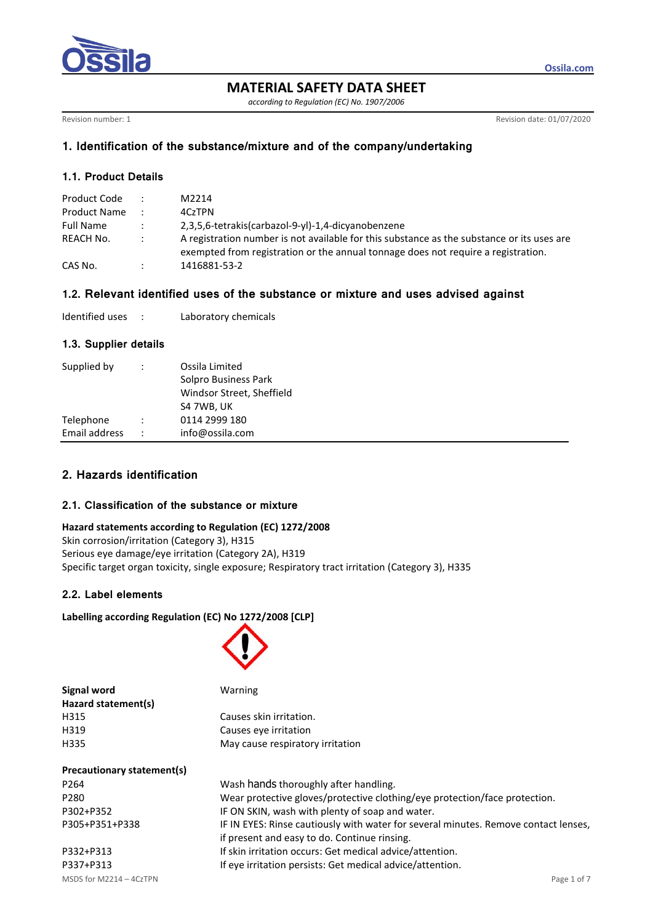

**MATERIAL SAFETY DATA SHEET**

*according to Regulation (EC) No. 1907/2006*

Revision number: 1 Revision date: 01/07/2020

**Ossila.com**

# **1. Identification of the substance/mixture and of the company/undertaking**

## **1.1. Product Details**

| Product Code     | $\mathbb{R}^{\mathbb{Z}}$ | M2214                                                                                                                                                                           |
|------------------|---------------------------|---------------------------------------------------------------------------------------------------------------------------------------------------------------------------------|
| Product Name     |                           | 4CzTPN                                                                                                                                                                          |
| <b>Full Name</b> | $\mathcal{L}$             | 2,3,5,6-tetrakis(carbazol-9-yl)-1,4-dicyanobenzene                                                                                                                              |
| REACH No.        |                           | A registration number is not available for this substance as the substance or its uses are<br>exempted from registration or the annual tonnage does not require a registration. |
| CAS No.          |                           | 1416881-53-2                                                                                                                                                                    |

# **1.2. Relevant identified uses of the substance or mixture and uses advised against**

| Identified uses |  | Laboratory chemicals |
|-----------------|--|----------------------|
|-----------------|--|----------------------|

## **1.3. Supplier details**

| Supplied by                |                      | Ossila Limited<br>Solpro Business Park<br>Windsor Street, Sheffield<br>S4 7WB, UK |
|----------------------------|----------------------|-----------------------------------------------------------------------------------|
| Telephone<br>Email address | $\ddot{\phantom{0}}$ | 0114 2999 180<br>info@ossila.com                                                  |

# **2. Hazards identification**

# **2.1. Classification of the substance or mixture**

### **Hazard statements according to Regulation (EC) 1272/2008**

Skin corrosion/irritation (Category 3), H315 Serious eye damage/eye irritation (Category 2A), H319 Specific target organ toxicity, single exposure; Respiratory tract irritation (Category 3), H335

# **2.2. Label elements**

## **Labelling according Regulation (EC) No 1272/2008 [CLP]**



| Signal word                | Warning                               |  |  |  |
|----------------------------|---------------------------------------|--|--|--|
| Hazard statement(s)        |                                       |  |  |  |
| H315                       | Causes skin irritation.               |  |  |  |
| H319                       | Causes eve irritation                 |  |  |  |
| H335                       | May cause respiratory irritation      |  |  |  |
| Precautionary statement(s) |                                       |  |  |  |
| P <sub>264</sub>           | Wash hands thoroughly after handling. |  |  |  |

| P264           | Wash hands thoroughly after handling.                                               |
|----------------|-------------------------------------------------------------------------------------|
| P280           | Wear protective gloves/protective clothing/eye protection/face protection.          |
| P302+P352      | IF ON SKIN, wash with plenty of soap and water.                                     |
| P305+P351+P338 | IF IN EYES: Rinse cautiously with water for several minutes. Remove contact lenses, |
|                | if present and easy to do. Continue rinsing.                                        |
| P332+P313      | If skin irritation occurs: Get medical advice/attention.                            |
| P337+P313      | If eye irritation persists: Get medical advice/attention.                           |
|                |                                                                                     |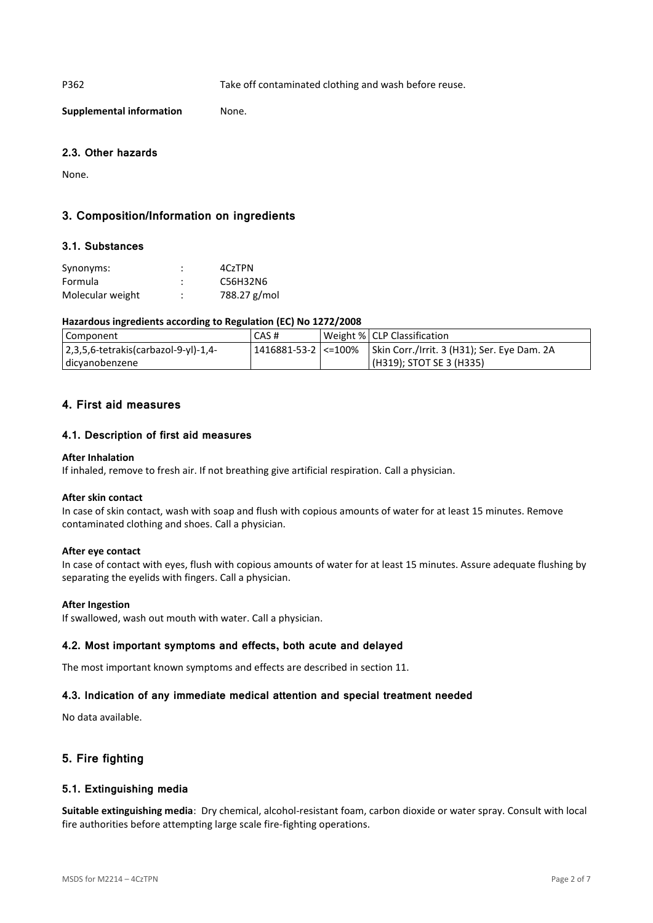P362 Take off contaminated clothing and wash before reuse.

**Supplemental information** None.

## **2.3. Other hazards**

None.

# **3. Composition/Information on ingredients**

### **3.1. Substances**

| Synonyms:        | ٠<br>٠ | 4CzTPN       |
|------------------|--------|--------------|
| Formula          |        | C56H32N6     |
| Molecular weight | ٠      | 788.27 g/mol |

### **Hazardous ingredients according to Regulation (EC) No 1272/2008**

| Component                                | CAS # | Weight %   CLP Classification                                       |
|------------------------------------------|-------|---------------------------------------------------------------------|
| $ 2,3,5,6$ -tetrakis(carbazol-9-yl)-1,4- |       | 1416881-53-2   <=100%   Skin Corr./Irrit. 3 (H31); Ser. Eye Dam. 2A |
| dicyanobenzene                           |       | (H319); STOT SE 3 (H335)                                            |

## **4. First aid measures**

## **4.1. Description of first aid measures**

#### **After Inhalation**

If inhaled, remove to fresh air. If not breathing give artificial respiration. Call a physician.

#### **After skin contact**

In case of skin contact, wash with soap and flush with copious amounts of water for at least 15 minutes. Remove contaminated clothing and shoes. Call a physician.

#### **After eye contact**

In case of contact with eyes, flush with copious amounts of water for at least 15 minutes. Assure adequate flushing by separating the eyelids with fingers. Call a physician.

#### **After Ingestion**

If swallowed, wash out mouth with water. Call a physician.

#### **4.2. Most important symptoms and effects, both acute and delayed**

The most important known symptoms and effects are described in section 11.

## **4.3. Indication of any immediate medical attention and special treatment needed**

No data available.

# **5. Fire fighting**

## **5.1. Extinguishing media**

**Suitable extinguishing media**: Dry chemical, alcohol-resistant foam, carbon dioxide or water spray. Consult with local fire authorities before attempting large scale fire-fighting operations.

MSDS for M2214 – 4CzTPN Page 2 of 7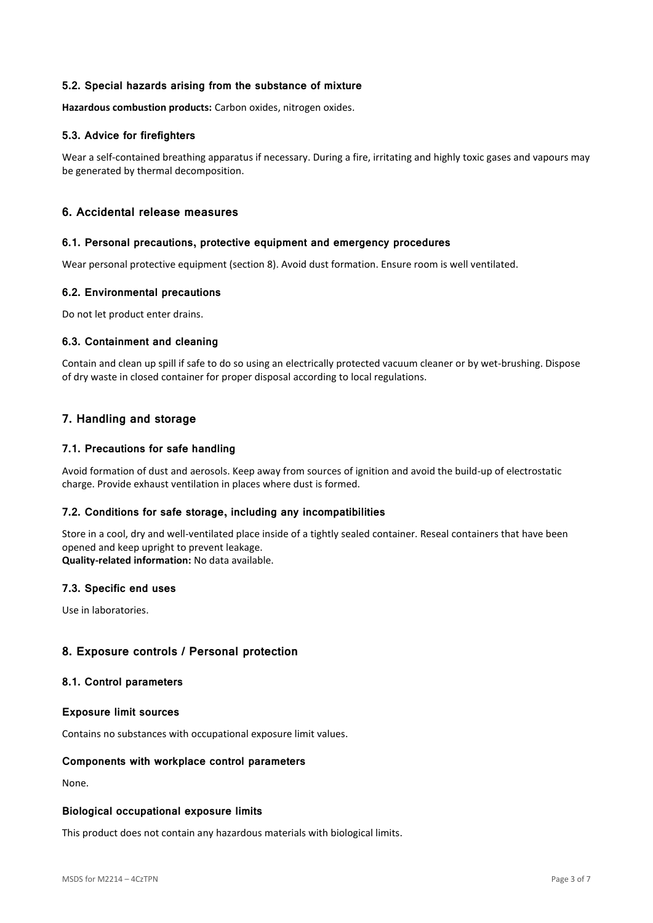## **5.2. Special hazards arising from the substance of mixture**

**Hazardous combustion products:** Carbon oxides, nitrogen oxides.

## **5.3. Advice for firefighters**

Wear a self-contained breathing apparatus if necessary. During a fire, irritating and highly toxic gases and vapours may be generated by thermal decomposition.

## **6. Accidental release measures**

### **6.1. Personal precautions, protective equipment and emergency procedures**

Wear personal protective equipment (section 8). Avoid dust formation. Ensure room is well ventilated.

## **6.2. Environmental precautions**

Do not let product enter drains.

## **6.3. Containment and cleaning**

Contain and clean up spill if safe to do so using an electrically protected vacuum cleaner or by wet-brushing. Dispose of dry waste in closed container for proper disposal according to local regulations.

## **7. Handling and storage**

## **7.1. Precautions for safe handling**

Avoid formation of dust and aerosols. Keep away from sources of ignition and avoid the build-up of electrostatic charge. Provide exhaust ventilation in places where dust is formed.

## **7.2. Conditions for safe storage, including any incompatibilities**

Store in a cool, dry and well-ventilated place inside of a tightly sealed container. Reseal containers that have been opened and keep upright to prevent leakage.

**Quality-related information:** No data available.

## **7.3. Specific end uses**

Use in laboratories.

## **8. Exposure controls / Personal protection**

### **8.1. Control parameters**

#### **Exposure limit sources**

Contains no substances with occupational exposure limit values.

## **Components with workplace control parameters**

None.

#### **Biological occupational exposure limits**

This product does not contain any hazardous materials with biological limits.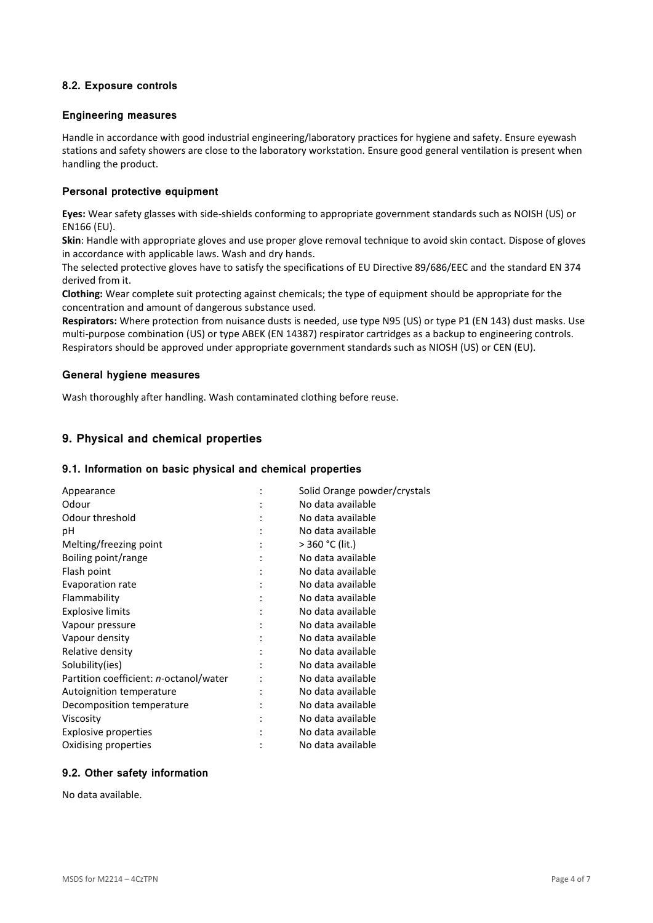## **8.2. Exposure controls**

### **Engineering measures**

Handle in accordance with good industrial engineering/laboratory practices for hygiene and safety. Ensure eyewash stations and safety showers are close to the laboratory workstation. Ensure good general ventilation is present when handling the product.

## **Personal protective equipment**

**Eyes:** Wear safety glasses with side-shields conforming to appropriate government standards such as NOISH (US) or EN166 (EU).

**Skin**: Handle with appropriate gloves and use proper glove removal technique to avoid skin contact. Dispose of gloves in accordance with applicable laws. Wash and dry hands.

The selected protective gloves have to satisfy the specifications of EU Directive 89/686/EEC and the standard EN 374 derived from it.

**Clothing:** Wear complete suit protecting against chemicals; the type of equipment should be appropriate for the concentration and amount of dangerous substance used.

**Respirators:** Where protection from nuisance dusts is needed, use type N95 (US) or type P1 (EN 143) dust masks. Use multi-purpose combination (US) or type ABEK (EN 14387) respirator cartridges as a backup to engineering controls. Respirators should be approved under appropriate government standards such as NIOSH (US) or CEN (EU).

### **General hygiene measures**

Wash thoroughly after handling. Wash contaminated clothing before reuse.

# **9. Physical and chemical properties**

#### **9.1. Information on basic physical and chemical properties**

| Appearance                             |                | Solid Orange powder/crystals |
|----------------------------------------|----------------|------------------------------|
| Odour                                  |                | No data available            |
| Odour threshold                        |                | No data available            |
| рH                                     |                | No data available            |
| Melting/freezing point                 |                | > 360 °C (lit.)              |
| Boiling point/range                    |                | No data available            |
| Flash point                            | $\ddot{\cdot}$ | No data available            |
| Evaporation rate                       |                | No data available            |
| Flammability                           |                | No data available            |
| <b>Explosive limits</b>                |                | No data available            |
| Vapour pressure                        |                | No data available            |
| Vapour density                         |                | No data available            |
| Relative density                       |                | No data available            |
| Solubility(ies)                        |                | No data available            |
| Partition coefficient: n-octanol/water |                | No data available            |
| Autoignition temperature               |                | No data available            |
| Decomposition temperature              |                | No data available            |
| Viscosity                              |                | No data available            |
| Explosive properties                   |                | No data available            |
| Oxidising properties                   |                | No data available            |
|                                        |                |                              |

# **9.2. Other safety information**

No data available.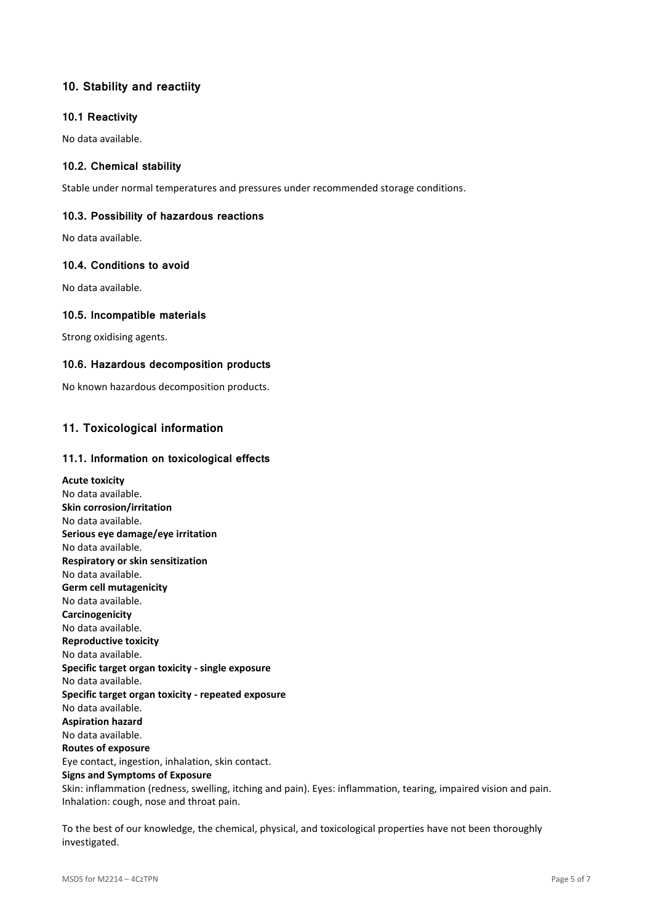# **10. Stability and reactiity**

## **10.1 Reactivity**

No data available.

## **10.2. Chemical stability**

Stable under normal temperatures and pressures under recommended storage conditions.

## **10.3. Possibility of hazardous reactions**

No data available.

## **10.4. Conditions to avoid**

No data available.

## **10.5. Incompatible materials**

Strong oxidising agents.

## **10.6. Hazardous decomposition products**

No known hazardous decomposition products.

# **11. Toxicological information**

## **11.1. Information on toxicological effects**

**Acute toxicity** No data available. **Skin corrosion/irritation** No data available. **Serious eye damage/eye irritation** No data available. **Respiratory or skin sensitization** No data available. **Germ cell mutagenicity** No data available. **Carcinogenicity** No data available. **Reproductive toxicity** No data available. **Specific target organ toxicity - single exposure** No data available. **Specific target organ toxicity - repeated exposure** No data available. **Aspiration hazard** No data available. **Routes of exposure** Eye contact, ingestion, inhalation, skin contact. **Signs and Symptoms of Exposure** Skin: inflammation (redness, swelling, itching and pain). Eyes: inflammation, tearing, impaired vision and pain. Inhalation: cough, nose and throat pain.

To the best of our knowledge, the chemical, physical, and toxicological properties have not been thoroughly investigated.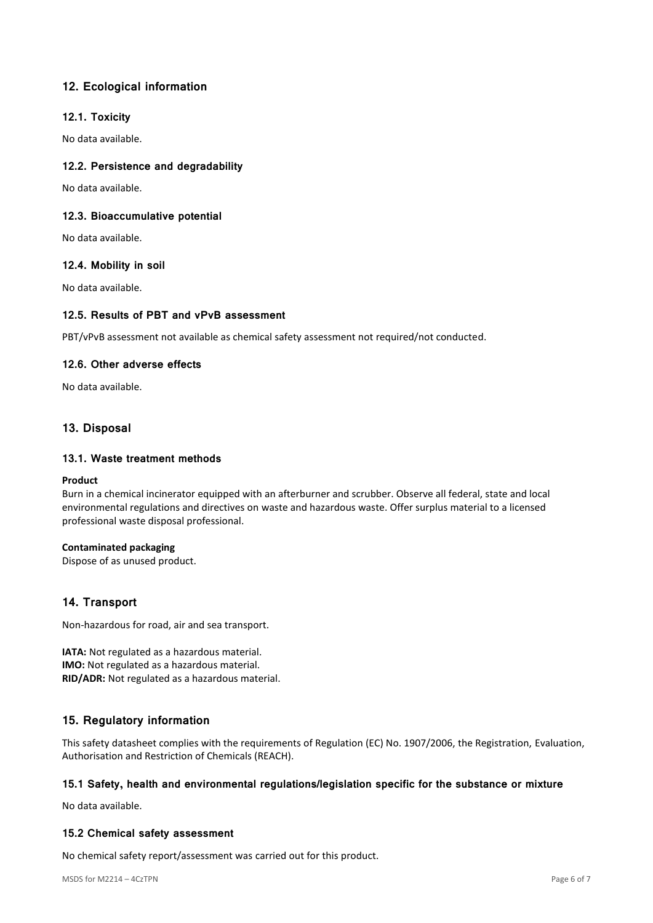# **12. Ecological information**

## **12.1. Toxicity**

No data available.

## **12.2. Persistence and degradability**

No data available.

## **12.3. Bioaccumulative potential**

No data available.

## **12.4. Mobility in soil**

No data available.

## **12.5. Results of PBT and vPvB assessment**

PBT/vPvB assessment not available as chemical safety assessment not required/not conducted.

## **12.6. Other adverse effects**

No data available.

# **13. Disposal**

## **13.1. Waste treatment methods**

#### **Product**

Burn in a chemical incinerator equipped with an afterburner and scrubber. Observe all federal, state and local environmental regulations and directives on waste and hazardous waste. Offer surplus material to a licensed professional waste disposal professional.

## **Contaminated packaging**

Dispose of as unused product.

# **14. Transport**

Non-hazardous for road, air and sea transport.

**IATA:** Not regulated as a hazardous material. **IMO:** Not regulated as a hazardous material. **RID/ADR:** Not regulated as a hazardous material.

# **15. Regulatory information**

This safety datasheet complies with the requirements of Regulation (EC) No. 1907/2006, the Registration, Evaluation, Authorisation and Restriction of Chemicals (REACH).

## **15.1 Safety, health and environmental regulations/legislation specific for the substance or mixture**

No data available.

## **15.2 Chemical safety assessment**

No chemical safety report/assessment was carried out for this product.